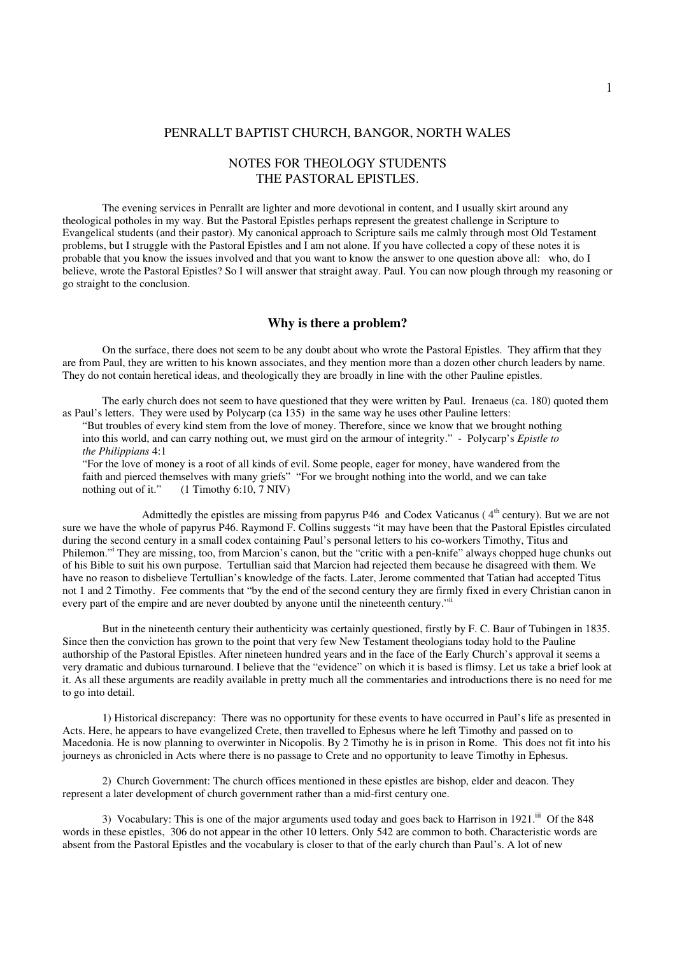### PENRALLT BAPTIST CHURCH, BANGOR, NORTH WALES

# NOTES FOR THEOLOGY STUDENTS THE PASTORAL EPISTLES.

The evening services in Penrallt are lighter and more devotional in content, and I usually skirt around any theological potholes in my way. But the Pastoral Epistles perhaps represent the greatest challenge in Scripture to Evangelical students (and their pastor). My canonical approach to Scripture sails me calmly through most Old Testament problems, but I struggle with the Pastoral Epistles and I am not alone. If you have collected a copy of these notes it is probable that you know the issues involved and that you want to know the answer to one question above all: who, do I believe, wrote the Pastoral Epistles? So I will answer that straight away. Paul. You can now plough through my reasoning or go straight to the conclusion.

### **Why is there a problem?**

On the surface, there does not seem to be any doubt about who wrote the Pastoral Epistles. They affirm that they are from Paul, they are written to his known associates, and they mention more than a dozen other church leaders by name. They do not contain heretical ideas, and theologically they are broadly in line with the other Pauline epistles.

The early church does not seem to have questioned that they were written by Paul. Irenaeus (ca. 180) quoted them as Paul's letters. They were used by Polycarp (ca 135) in the same way he uses other Pauline letters:

"But troubles of every kind stem from the love of money. Therefore, since we know that we brought nothing into this world, and can carry nothing out, we must gird on the armour of integrity." - Polycarp's *Epistle to the Philippians* 4:1

"For the love of money is a root of all kinds of evil. Some people, eager for money, have wandered from the faith and pierced themselves with many griefs" "For we brought nothing into the world, and we can take nothing out of it." (1 Timothy 6:10, 7 NIV)

Admittedly the epistles are missing from papyrus P46 and Codex Vaticanus (4<sup>th</sup> century). But we are not sure we have the whole of papyrus P46. Raymond F. Collins suggests "it may have been that the Pastoral Epistles circulated during the second century in a small codex containing Paul's personal letters to his co-workers Timothy, Titus and Philemon." They are missing, too, from Marcion's canon, but the "critic with a pen-knife" always chopped huge chunks out of his Bible to suit his own purpose. Tertullian said that Marcion had rejected them because he disagreed with them. We have no reason to disbelieve Tertullian's knowledge of the facts. Later, Jerome commented that Tatian had accepted Titus not 1 and 2 Timothy. Fee comments that "by the end of the second century they are firmly fixed in every Christian canon in every part of the empire and are never doubted by anyone until the nineteenth century."<sup>ii</sup>

But in the nineteenth century their authenticity was certainly questioned, firstly by F. C. Baur of Tubingen in 1835. Since then the conviction has grown to the point that very few New Testament theologians today hold to the Pauline authorship of the Pastoral Epistles. After nineteen hundred years and in the face of the Early Church's approval it seems a very dramatic and dubious turnaround. I believe that the "evidence" on which it is based is flimsy. Let us take a brief look at it. As all these arguments are readily available in pretty much all the commentaries and introductions there is no need for me to go into detail.

1) Historical discrepancy: There was no opportunity for these events to have occurred in Paul's life as presented in Acts. Here, he appears to have evangelized Crete, then travelled to Ephesus where he left Timothy and passed on to Macedonia. He is now planning to overwinter in Nicopolis. By 2 Timothy he is in prison in Rome. This does not fit into his journeys as chronicled in Acts where there is no passage to Crete and no opportunity to leave Timothy in Ephesus.

2) Church Government: The church offices mentioned in these epistles are bishop, elder and deacon. They represent a later development of church government rather than a mid-first century one.

3) Vocabulary: This is one of the major arguments used today and goes back to Harrison in 1921.<sup>iii</sup> Of the 848 words in these epistles, 306 do not appear in the other 10 letters. Only 542 are common to both. Characteristic words are absent from the Pastoral Epistles and the vocabulary is closer to that of the early church than Paul's. A lot of new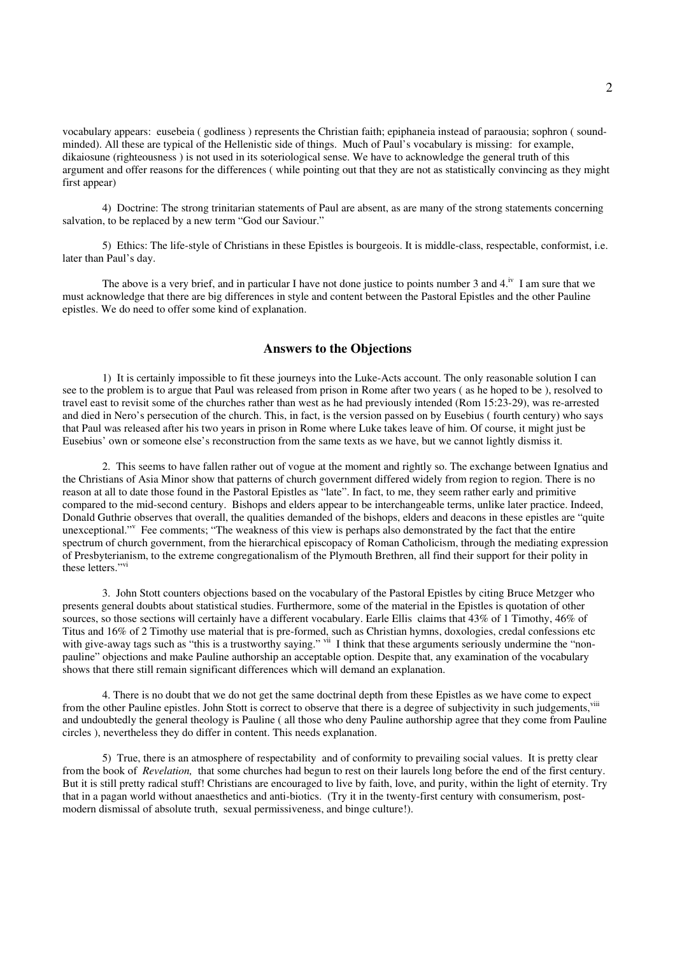vocabulary appears: eusebeia ( godliness ) represents the Christian faith; epiphaneia instead of paraousia; sophron ( soundminded). All these are typical of the Hellenistic side of things. Much of Paul's vocabulary is missing: for example, dikaiosune (righteousness ) is not used in its soteriological sense. We have to acknowledge the general truth of this argument and offer reasons for the differences ( while pointing out that they are not as statistically convincing as they might first appear)

4) Doctrine: The strong trinitarian statements of Paul are absent, as are many of the strong statements concerning salvation, to be replaced by a new term "God our Saviour."

5) Ethics: The life-style of Christians in these Epistles is bourgeois. It is middle-class, respectable, conformist, i.e. later than Paul's day.

The above is a very brief, and in particular I have not done justice to points number 3 and  $4.^{iv}$  I am sure that we must acknowledge that there are big differences in style and content between the Pastoral Epistles and the other Pauline epistles. We do need to offer some kind of explanation.

## **Answers to the Objections**

1) It is certainly impossible to fit these journeys into the Luke-Acts account. The only reasonable solution I can see to the problem is to argue that Paul was released from prison in Rome after two years ( as he hoped to be ), resolved to travel east to revisit some of the churches rather than west as he had previously intended (Rom 15:23-29), was re-arrested and died in Nero's persecution of the church. This, in fact, is the version passed on by Eusebius ( fourth century) who says that Paul was released after his two years in prison in Rome where Luke takes leave of him. Of course, it might just be Eusebius' own or someone else's reconstruction from the same texts as we have, but we cannot lightly dismiss it.

2. This seems to have fallen rather out of vogue at the moment and rightly so. The exchange between Ignatius and the Christians of Asia Minor show that patterns of church government differed widely from region to region. There is no reason at all to date those found in the Pastoral Epistles as "late". In fact, to me, they seem rather early and primitive compared to the mid-second century. Bishops and elders appear to be interchangeable terms, unlike later practice. Indeed, Donald Guthrie observes that overall, the qualities demanded of the bishops, elders and deacons in these epistles are "quite unexceptional."<sup>v</sup> Fee comments; "The weakness of this view is perhaps also demonstrated by the fact that the entire spectrum of church government, from the hierarchical episcopacy of Roman Catholicism, through the mediating expression of Presbyterianism, to the extreme congregationalism of the Plymouth Brethren, all find their support for their polity in these letters." vi

3. John Stott counters objections based on the vocabulary of the Pastoral Epistles by citing Bruce Metzger who presents general doubts about statistical studies. Furthermore, some of the material in the Epistles is quotation of other sources, so those sections will certainly have a different vocabulary. Earle Ellis claims that 43% of 1 Timothy, 46% of Titus and 16% of 2 Timothy use material that is pre-formed, such as Christian hymns, doxologies, credal confessions etc with give-away tags such as "this is a trustworthy saying." vii I think that these arguments seriously undermine the "nonpauline" objections and make Pauline authorship an acceptable option. Despite that, any examination of the vocabulary shows that there still remain significant differences which will demand an explanation.

4. There is no doubt that we do not get the same doctrinal depth from these Epistles as we have come to expect from the other Pauline epistles. John Stott is correct to observe that there is a degree of subjectivity in such judgements, viii and undoubtedly the general theology is Pauline ( all those who deny Pauline authorship agree that they come from Pauline circles ), nevertheless they do differ in content. This needs explanation.

5) True, there is an atmosphere of respectability and of conformity to prevailing social values. It is pretty clear from the book of *Revelation,* that some churches had begun to rest on their laurels long before the end of the first century. But it is still pretty radical stuff! Christians are encouraged to live by faith, love, and purity, within the light of eternity. Try that in a pagan world without anaesthetics and anti-biotics. (Try it in the twenty-first century with consumerism, postmodern dismissal of absolute truth, sexual permissiveness, and binge culture!).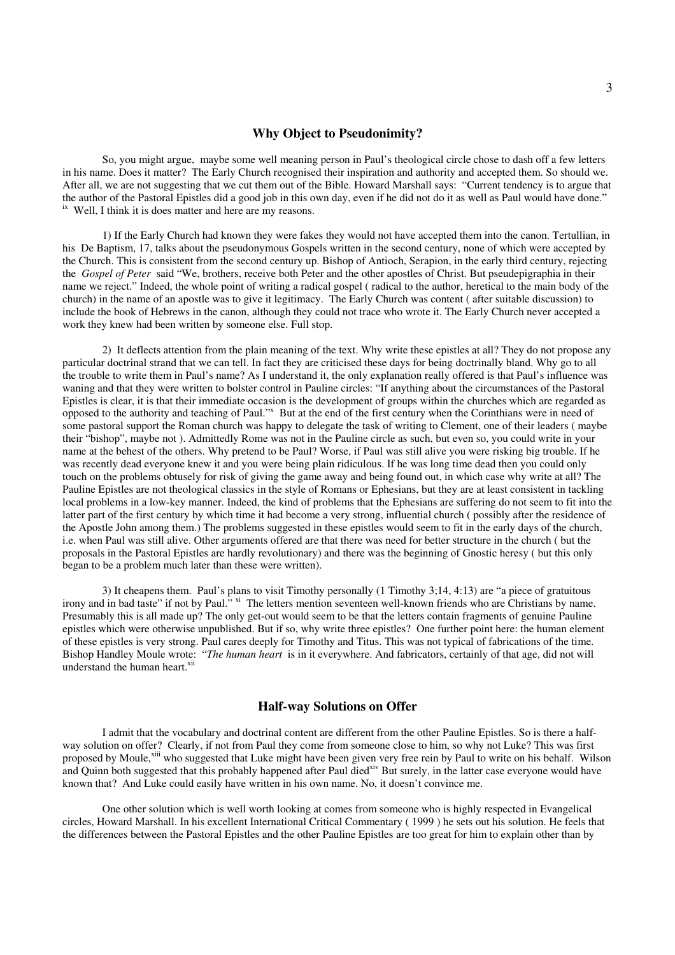#### **Why Object to Pseudonimity?**

So, you might argue, maybe some well meaning person in Paul's theological circle chose to dash off a few letters in his name. Does it matter? The Early Church recognised their inspiration and authority and accepted them. So should we. After all, we are not suggesting that we cut them out of the Bible. Howard Marshall says: "Current tendency is to argue that the author of the Pastoral Epistles did a good job in this own day, even if he did not do it as well as Paul would have done." <sup>ix</sup> Well, I think it is does matter and here are my reasons.

1) If the Early Church had known they were fakes they would not have accepted them into the canon. Tertullian, in his De Baptism, 17, talks about the pseudonymous Gospels written in the second century, none of which were accepted by the Church. This is consistent from the second century up. Bishop of Antioch, Serapion, in the early third century, rejecting the *Gospel of Peter* said "We, brothers, receive both Peter and the other apostles of Christ. But pseudepigraphia in their name we reject." Indeed, the whole point of writing a radical gospel ( radical to the author, heretical to the main body of the church) in the name of an apostle was to give it legitimacy. The Early Church was content ( after suitable discussion) to include the book of Hebrews in the canon, although they could not trace who wrote it. The Early Church never accepted a work they knew had been written by someone else. Full stop.

2) It deflects attention from the plain meaning of the text. Why write these epistles at all? They do not propose any particular doctrinal strand that we can tell. In fact they are criticised these days for being doctrinally bland. Why go to all the trouble to write them in Paul's name? As I understand it, the only explanation really offered is that Paul's influence was waning and that they were written to bolster control in Pauline circles: "If anything about the circumstances of the Pastoral Epistles is clear, it is that their immediate occasion is the development of groups within the churches which are regarded as opposed to the authority and teaching of Paul."<sup>x</sup> But at the end of the first century when the Corinthians were in need of some pastoral support the Roman church was happy to delegate the task of writing to Clement, one of their leaders ( maybe their "bishop", maybe not ). Admittedly Rome was not in the Pauline circle as such, but even so, you could write in your name at the behest of the others. Why pretend to be Paul? Worse, if Paul was still alive you were risking big trouble. If he was recently dead everyone knew it and you were being plain ridiculous. If he was long time dead then you could only touch on the problems obtusely for risk of giving the game away and being found out, in which case why write at all? The Pauline Epistles are not theological classics in the style of Romans or Ephesians, but they are at least consistent in tackling local problems in a low-key manner. Indeed, the kind of problems that the Ephesians are suffering do not seem to fit into the latter part of the first century by which time it had become a very strong, influential church ( possibly after the residence of the Apostle John among them.) The problems suggested in these epistles would seem to fit in the early days of the church, i.e. when Paul was still alive. Other arguments offered are that there was need for better structure in the church ( but the proposals in the Pastoral Epistles are hardly revolutionary) and there was the beginning of Gnostic heresy ( but this only began to be a problem much later than these were written).

3) It cheapens them. Paul's plans to visit Timothy personally (1 Timothy 3;14, 4:13) are "a piece of gratuitous irony and in bad taste" if not by Paul." <sup>xi</sup> The letters mention seventeen well-known friends who are Christians by name. Presumably this is all made up? The only get-out would seem to be that the letters contain fragments of genuine Pauline epistles which were otherwise unpublished. But if so, why write three epistles? One further point here: the human element of these epistles is very strong. Paul cares deeply for Timothy and Titus. This was not typical of fabrications of the time. Bishop Handley Moule wrote: "*The human heart* is in it everywhere. And fabricators, certainly of that age, did not will understand the human heart.<sup>xii</sup>

## **Half-way Solutions on Offer**

I admit that the vocabulary and doctrinal content are different from the other Pauline Epistles. So is there a halfway solution on offer? Clearly, if not from Paul they come from someone close to him, so why not Luke? This was first proposed by Moule,<sup>xiii</sup> who suggested that Luke might have been given very free rein by Paul to write on his behalf. Wilson and Quinn both suggested that this probably happened after Paul died<sup>xiv</sup> But surely, in the latter case everyone would have known that? And Luke could easily have written in his own name. No, it doesn't convince me.

One other solution which is well worth looking at comes from someone who is highly respected in Evangelical circles, Howard Marshall. In his excellent International Critical Commentary ( 1999 ) he sets out his solution. He feels that the differences between the Pastoral Epistles and the other Pauline Epistles are too great for him to explain other than by